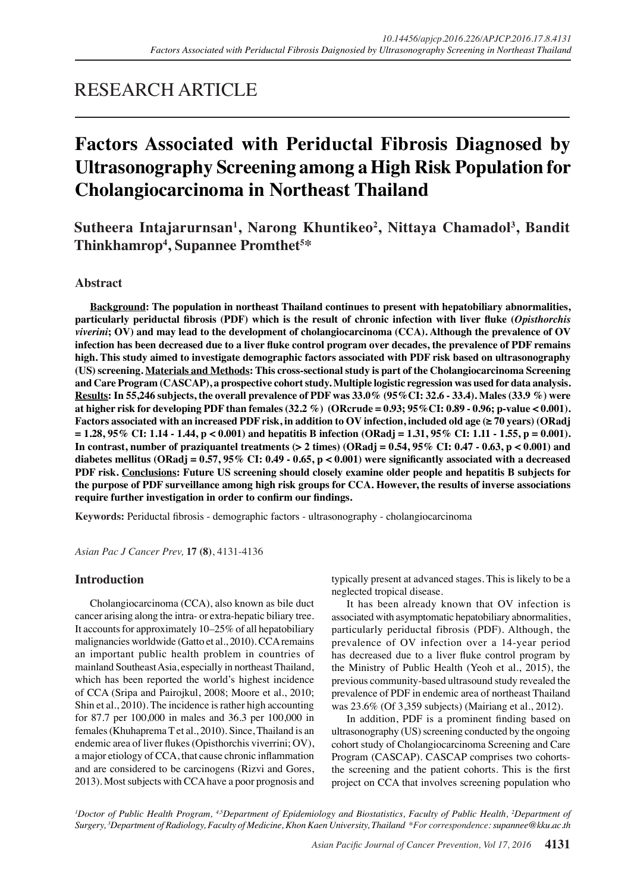# RESEARCH ARTICLE

# **Factors Associated with Periductal Fibrosis Diagnosed by Ultrasonography Screening among a High Risk Population for Cholangiocarcinoma in Northeast Thailand**

**Sutheera Intajarurnsan1 , Narong Khuntikeo<sup>2</sup> , Nittaya Chamadol<sup>3</sup> , Bandit Thinkhamrop4 , Supannee Promthet<sup>5</sup> \***

# **Abstract**

**Background: The population in northeast Thailand continues to present with hepatobiliary abnormalities, particularly periductal fibrosis (PDF) which is the result of chronic infection with liver fluke (***Opisthorchis viverini***; OV) and may lead to the development of cholangiocarcinoma (CCA). Although the prevalence of OV infection has been decreased due to a liver fluke control program over decades, the prevalence of PDF remains high. This study aimed to investigate demographic factors associated with PDF risk based on ultrasonography (US) screening. Materials and Methods: This cross-sectional study is part of the Cholangiocarcinoma Screening and Care Program (CASCAP), a prospective cohort study. Multiple logistic regression was used for data analysis. Results: In 55,246 subjects, the overall prevalence of PDF was 33.0% (95%CI: 32.6 - 33.4). Males (33.9 %) were at higher risk for developing PDF than females (32.2 %) (ORcrude = 0.93; 95%CI: 0.89 - 0.96; p-value < 0.001). Factors associated with an increased PDF risk, in addition to OV infection, included old age (≥ 70 years) (ORadj = 1.28, 95% CI: 1.14 - 1.44, p < 0.001) and hepatitis B infection (ORadj = 1.31, 95% CI: 1.11 - 1.55, p = 0.001). In contrast, number of praziquantel treatments (> 2 times) (ORadj = 0.54, 95% CI: 0.47 - 0.63, p < 0.001) and diabetes mellitus (ORadj = 0.57, 95% CI: 0.49 - 0.65, p < 0.001) were significantly associated with a decreased PDF risk. Conclusions: Future US screening should closely examine older people and hepatitis B subjects for the purpose of PDF surveillance among high risk groups for CCA. However, the results of inverse associations require further investigation in order to confirm our findings.**

**Keywords:** Periductal fibrosis - demographic factors - ultrasonography - cholangiocarcinoma

*Asian Pac J Cancer Prev,* **17 (8)**, 4131-4136

# **Introduction**

Cholangiocarcinoma (CCA), also known as bile duct cancer arising along the intra- or extra-hepatic biliary tree. It accounts for approximately 10–25% of all hepatobiliary malignancies worldwide (Gatto et al., 2010). CCA remains an important public health problem in countries of mainland Southeast Asia, especially in northeast Thailand, which has been reported the world's highest incidence of CCA (Sripa and Pairojkul, 2008; Moore et al., 2010; Shin et al., 2010). The incidence is rather high accounting for 87.7 per 100,000 in males and 36.3 per 100,000 in females (Khuhaprema T et al., 2010). Since, Thailand is an endemic area of liver flukes (Opisthorchis viverrini; OV), a major etiology of CCA, that cause chronic inflammation and are considered to be carcinogens (Rizvi and Gores, 2013). Most subjects with CCA have a poor prognosis and typically present at advanced stages. This is likely to be a neglected tropical disease.

It has been already known that OV infection is associated with asymptomatic hepatobiliary abnormalities, particularly periductal fibrosis (PDF). Although, the prevalence of OV infection over a 14-year period has decreased due to a liver fluke control program by the Ministry of Public Health (Yeoh et al., 2015), the previous community-based ultrasound study revealed the prevalence of PDF in endemic area of northeast Thailand was 23.6% (Of 3,359 subjects) (Mairiang et al., 2012).

In addition, PDF is a prominent finding based on ultrasonography (US) screening conducted by the ongoing cohort study of Cholangiocarcinoma Screening and Care Program (CASCAP). CASCAP comprises two cohortsthe screening and the patient cohorts. This is the first project on CCA that involves screening population who

<sup>*I*</sup>Doctor of Public Health Program, <sup>45</sup>Department of Epidemiology and Biostatistics, Faculty of Public Health, <sup>2</sup>Department of *Surgery, 3 Department of Radiology, Faculty of Medicine, Khon Kaen University, Thailand \*For correspondence: supannee@kku.ac.th*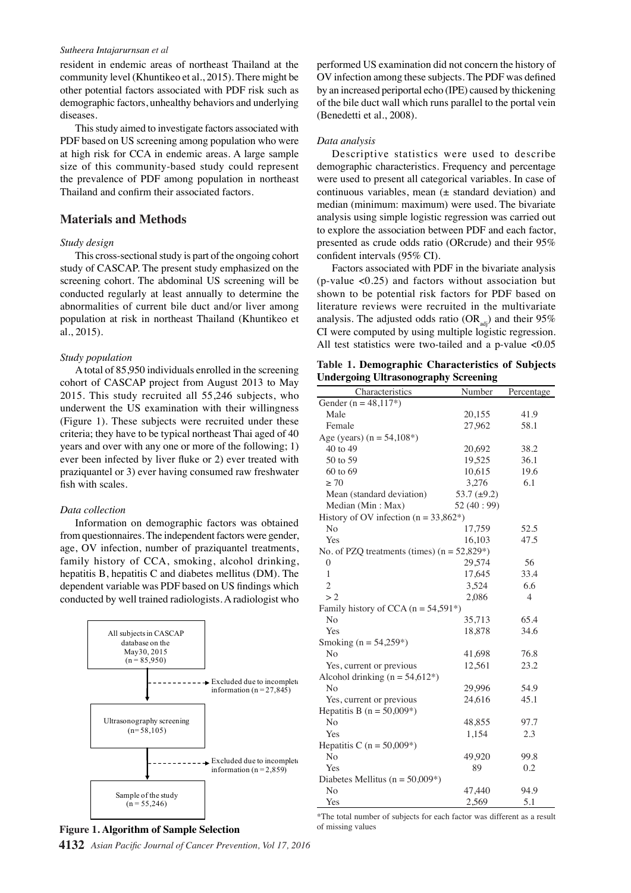#### *Sutheera Intajarurnsan et al*

resident in endemic areas of northeast Thailand at the community level (Khuntikeo et al., 2015). There might be other potential factors associated with PDF risk such as demographic factors, unhealthy behaviors and underlying diseases.

This study aimed to investigate factors associated with PDF based on US screening among population who were at high risk for CCA in endemic areas. A large sample size of this community-based study could represent the prevalence of PDF among population in northeast Thailand and confirm their associated factors.

## **Materials and Methods**

#### *Study design*

This cross-sectional study is part of the ongoing cohort study of CASCAP. The present study emphasized on the screening cohort. The abdominal US screening will be conducted regularly at least annually to determine the abnormalities of current bile duct and/or liver among population at risk in northeast Thailand (Khuntikeo et al., 2015).

#### *Study population*

A total of 85,950 individuals enrolled in the screening cohort of CASCAP project from August 2013 to May 2015. This study recruited all 55,246 subjects, who underwent the US examination with their willingness (Figure 1). These subjects were recruited under these criteria; they have to be typical northeast Thai aged of 40 years and over with any one or more of the following; 1) ever been infected by liver fluke or 2) ever treated with praziquantel or 3) ever having consumed raw freshwater fish with scales.

### *Data collection*

Information on demographic factors was obtained from questionnaires. The independent factors were gender, age, OV infection, number of praziquantel treatments, family history of CCA, smoking, alcohol drinking, hepatitis B, hepatitis C and diabetes mellitus (DM). The dependent variable was PDF based on US findings which conducted by well trained radiologists. A radiologist who



# **Figure 1. Algorithm of Sample Selection** of thissing values

**4132** *Asian Pacific Journal of Cancer Prevention, Vol 17, 2016*

performed US examination did not concern the history of OV infection among these subjects. The PDF was defined by an increased periportal echo (IPE) caused by thickening of the bile duct wall which runs parallel to the portal vein (Benedetti et al., 2008).

#### *Data analysis*

Descriptive statistics were used to describe demographic characteristics. Frequency and percentage were used to present all categorical variables. In case of continuous variables, mean  $(\pm$  standard deviation) and median (minimum: maximum) were used. The bivariate analysis using simple logistic regression was carried out to explore the association between PDF and each factor, presented as crude odds ratio (ORcrude) and their 95% confident intervals (95% CI).

Factors associated with PDF in the bivariate analysis (p-value <0.25) and factors without association but shown to be potential risk factors for PDF based on literature reviews were recruited in the multivariate analysis. The adjusted odds ratio  $(OR_{ad})$  and their 95% CI were computed by using multiple logistic regression. All test statistics were two-tailed and a p-value <0.05

**Table 1. Demographic Characteristics of Subjects Undergoing Ultrasonography Screening** 

| Characteristics                                     | Number           | Percentage     |  |  |  |
|-----------------------------------------------------|------------------|----------------|--|--|--|
| Gender ( $n = 48,117$ *)                            |                  |                |  |  |  |
| Male                                                | 20,155           | 41.9           |  |  |  |
| Female                                              | 27,962           | 58.1           |  |  |  |
| Age (years) $(n = 54,108^*)$                        |                  |                |  |  |  |
| 40 to 49                                            | 20,692           | 38.2           |  |  |  |
| 50 to 59                                            | 19,525           | 36.1           |  |  |  |
| 60 to 69                                            | 10,615           | 19.6           |  |  |  |
| $\geq 70$                                           | 3,276            | 6.1            |  |  |  |
| Mean (standard deviation)                           | 53.7 $(\pm 9.2)$ |                |  |  |  |
| Median (Min: Max)                                   | 52 $(40:99)$     |                |  |  |  |
| History of OV infection ( $n = 33,862^*$ )          |                  |                |  |  |  |
| No                                                  | 17.759           | 52.5           |  |  |  |
| Yes                                                 | 16,103           | 47.5           |  |  |  |
| No. of PZQ treatments (times) $(n = 52,829^*)$      |                  |                |  |  |  |
| 0                                                   | 29.574           | 56             |  |  |  |
| 1                                                   | 17,645           | 33.4           |  |  |  |
| $\overline{c}$                                      | 3,524            | 6.6            |  |  |  |
| >2                                                  | 2,086            | $\overline{4}$ |  |  |  |
| Family history of CCA ( $n = 54,591$ <sup>*</sup> ) |                  |                |  |  |  |
| No                                                  | 35,713           | 65.4           |  |  |  |
| Yes                                                 | 18,878           | 34.6           |  |  |  |
| Smoking ( $n = 54,259$ *)                           |                  |                |  |  |  |
| N <sub>o</sub>                                      | 41,698           | 76.8           |  |  |  |
| Yes, current or previous                            | 12,561           | 23.2           |  |  |  |
| Alcohol drinking ( $n = 54,612^*$ )                 |                  |                |  |  |  |
| No                                                  | 29,996           | 54.9           |  |  |  |
| Yes, current or previous                            | 24,616           | 45.1           |  |  |  |
| Hepatitis B ( $n = 50,009^*$ )                      |                  |                |  |  |  |
| N <sub>0</sub>                                      | 48,855           | 97.7           |  |  |  |
| Yes                                                 | 1,154            | 2.3            |  |  |  |
| Hepatitis C ( $n = 50,009^*$ )                      |                  |                |  |  |  |
| No                                                  | 49,920           | 99.8           |  |  |  |
| Yes                                                 | 89               | 0.2            |  |  |  |
| Diabetes Mellitus ( $n = 50,009$ *)                 |                  |                |  |  |  |
| No                                                  | 47,440           | 94.9           |  |  |  |
| Yes                                                 | 2,569            | 5.1            |  |  |  |

\*The total number of subjects for each factor was different as a result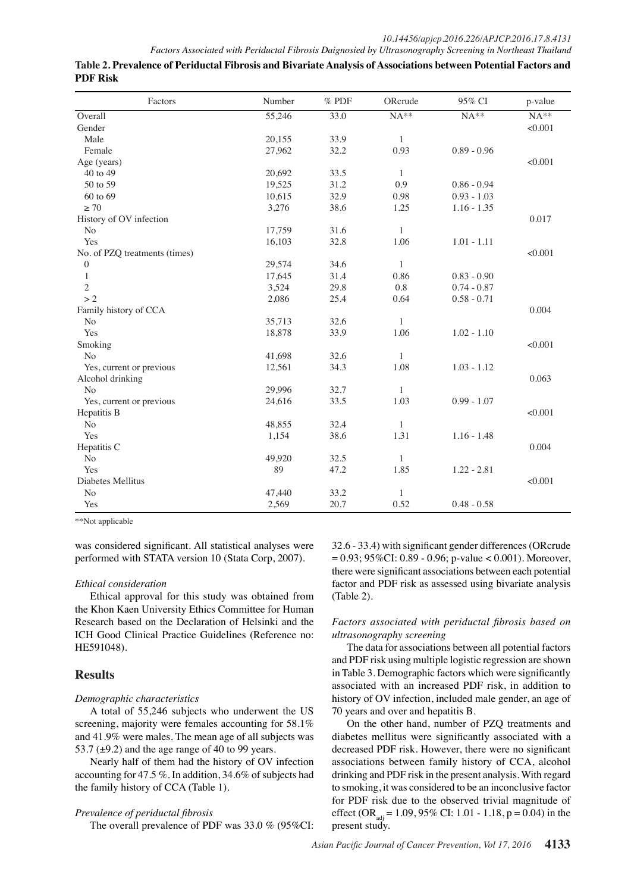| Factors                       | Number | $%$ PDF | ORcrude      | 95% CI        | p-value |
|-------------------------------|--------|---------|--------------|---------------|---------|
| Overall                       | 55,246 | 33.0    | $NA**$       | $NA**$        | $NA**$  |
| Gender                        |        |         |              |               | < 0.001 |
| Male                          | 20.155 | 33.9    | $\mathbf{1}$ |               |         |
| Female                        | 27,962 | 32.2    | 0.93         | $0.89 - 0.96$ |         |
| Age (years)                   |        |         |              |               | < 0.001 |
| 40 to 49                      | 20.692 | 33.5    | $\mathbf{1}$ |               |         |
| 50 to 59                      | 19,525 | 31.2    | 0.9          | $0.86 - 0.94$ |         |
| 60 to 69                      | 10,615 | 32.9    | 0.98         | $0.93 - 1.03$ |         |
| $\geq 70$                     | 3,276  | 38.6    | 1.25         | $1.16 - 1.35$ |         |
| History of OV infection       |        |         |              |               | 0.017   |
| No                            | 17,759 | 31.6    | $\mathbf{1}$ |               |         |
| Yes                           | 16,103 | 32.8    | 1.06         | $1.01 - 1.11$ |         |
| No. of PZQ treatments (times) |        |         |              |               | < 0.001 |
| $\boldsymbol{0}$              | 29,574 | 34.6    | $\mathbf{1}$ |               |         |
| $\mathbf{1}$                  | 17,645 | 31.4    | 0.86         | $0.83 - 0.90$ |         |
| $\mathfrak{2}$                | 3,524  | 29.8    | 0.8          | $0.74 - 0.87$ |         |
| >2                            | 2,086  | 25.4    | 0.64         | $0.58 - 0.71$ |         |
| Family history of CCA         |        |         |              |               | 0.004   |
| No                            | 35,713 | 32.6    | $\mathbf{1}$ |               |         |
| Yes                           | 18,878 | 33.9    | 1.06         | $1.02 - 1.10$ |         |
| Smoking                       |        |         |              |               | < 0.001 |
| N <sub>o</sub>                | 41,698 | 32.6    | $\mathbf{1}$ |               |         |
| Yes, current or previous      | 12,561 | 34.3    | 1.08         | $1.03 - 1.12$ |         |
| Alcohol drinking              |        |         |              |               | 0.063   |
| N <sub>o</sub>                | 29.996 | 32.7    | $\mathbf{1}$ |               |         |
| Yes, current or previous      | 24,616 | 33.5    | 1.03         | $0.99 - 1.07$ |         |
| Hepatitis B                   |        |         |              |               | < 0.001 |
| $\rm No$                      | 48,855 | 32.4    | $\mathbf{1}$ |               |         |
| Yes                           | 1,154  | 38.6    | 1.31         | $1.16 - 1.48$ |         |
| Hepatitis C                   |        |         |              |               | 0.004   |
| No                            | 49.920 | 32.5    | $\mathbf{1}$ |               |         |
| Yes                           | 89     | 47.2    | 1.85         | $1.22 - 2.81$ |         |
| Diabetes Mellitus             |        |         |              |               | < 0.001 |
| $\rm No$                      | 47,440 | 33.2    | $\mathbf{1}$ |               |         |
| Yes                           | 2,569  | 20.7    | 0.52         | $0.48 - 0.58$ |         |

**Table 2. Prevalence of Periductal Fibrosis and Bivariate Analysis of Associations between Potential Factors and PDF Risk**

\*\*Not applicable

was considered significant. All statistical analyses were performed with STATA version 10 (Stata Corp, 2007).

## *Ethical consideration*

Ethical approval for this study was obtained from the Khon Kaen University Ethics Committee for Human Research based on the Declaration of Helsinki and the ICH Good Clinical Practice Guidelines (Reference no: HE591048).

# **Results**

## *Demographic characteristics*

A total of 55,246 subjects who underwent the US screening, majority were females accounting for 58.1% and 41.9% were males. The mean age of all subjects was 53.7 ( $\pm$ 9.2) and the age range of 40 to 99 years.

Nearly half of them had the history of OV infection accounting for 47.5 %. In addition, 34.6% of subjects had the family history of CCA (Table 1).

## *Prevalence of periductal fibrosis*

The overall prevalence of PDF was 33.0 % (95%CI:

32.6 - 33.4) with significant gender differences (ORcrude  $= 0.93$ ; 95%CI: 0.89 - 0.96; p-value < 0.001). Moreover, there were significant associations between each potential factor and PDF risk as assessed using bivariate analysis (Table 2).

*Factors associated with periductal fibrosis based on ultrasonography screening*

The data for associations between all potential factors and PDF risk using multiple logistic regression are shown in Table 3. Demographic factors which were significantly associated with an increased PDF risk, in addition to history of OV infection, included male gender, an age of 70 years and over and hepatitis B.

On the other hand, number of PZQ treatments and diabetes mellitus were significantly associated with a decreased PDF risk. However, there were no significant associations between family history of CCA, alcohol drinking and PDF risk in the present analysis. With regard to smoking, it was considered to be an inconclusive factor for PDF risk due to the observed trivial magnitude of effect (OR<sub>adj</sub> = 1.09, 95% CI: 1.01 - 1.18, p = 0.04) in the present study.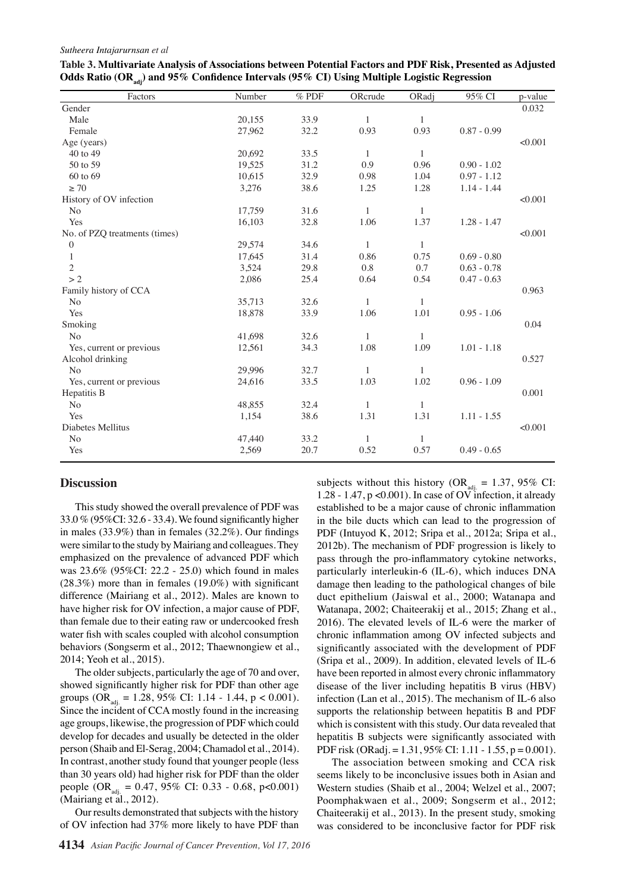#### *Sutheera Intajarurnsan et al*

| Factors                       | Number | $%$ PDF | ORcrude      | ORadj        | 95% CI        | p-value |
|-------------------------------|--------|---------|--------------|--------------|---------------|---------|
| Gender                        |        |         |              |              |               | 0.032   |
| Male                          | 20,155 | 33.9    | $\mathbf{1}$ | 1            |               |         |
| Female                        | 27,962 | 32.2    | 0.93         | 0.93         | $0.87 - 0.99$ |         |
| Age (years)                   |        |         |              |              |               | < 0.001 |
| 40 to 49                      | 20,692 | 33.5    | $\mathbf{1}$ | 1            |               |         |
| 50 to 59                      | 19,525 | 31.2    | 0.9          | 0.96         | $0.90 - 1.02$ |         |
| 60 to 69                      | 10,615 | 32.9    | 0.98         | 1.04         | $0.97 - 1.12$ |         |
| $\geq 70$                     | 3,276  | 38.6    | 1.25         | 1.28         | $1.14 - 1.44$ |         |
| History of OV infection       |        |         |              |              |               | < 0.001 |
| N <sub>o</sub>                | 17,759 | 31.6    | $\mathbf{1}$ | $\mathbf{1}$ |               |         |
| Yes                           | 16,103 | 32.8    | 1.06         | 1.37         | $1.28 - 1.47$ |         |
| No. of PZQ treatments (times) |        |         |              |              |               | < 0.001 |
| $\overline{0}$                | 29,574 | 34.6    | $\mathbf{1}$ | $\mathbf{1}$ |               |         |
| $\mathbf{1}$                  | 17,645 | 31.4    | 0.86         | 0.75         | $0.69 - 0.80$ |         |
| $\overline{c}$                | 3,524  | 29.8    | 0.8          | 0.7          | $0.63 - 0.78$ |         |
| >2                            | 2,086  | 25.4    | 0.64         | 0.54         | $0.47 - 0.63$ |         |
| Family history of CCA         |        |         |              |              |               | 0.963   |
| N <sub>o</sub>                | 35,713 | 32.6    | $\mathbf{1}$ | 1            |               |         |
| Yes                           | 18,878 | 33.9    | 1.06         | 1.01         | $0.95 - 1.06$ |         |
| Smoking                       |        |         |              |              |               | 0.04    |
| N <sub>o</sub>                | 41.698 | 32.6    | $\mathbf{1}$ | $\mathbf{1}$ |               |         |
| Yes, current or previous      | 12,561 | 34.3    | 1.08         | 1.09         | $1.01 - 1.18$ |         |
| Alcohol drinking              |        |         |              |              |               | 0.527   |
| N <sub>o</sub>                | 29,996 | 32.7    | 1            | 1            |               |         |
| Yes, current or previous      | 24,616 | 33.5    | 1.03         | 1.02         | $0.96 - 1.09$ |         |
| Hepatitis B                   |        |         |              |              |               | 0.001   |
| N <sub>o</sub>                | 48,855 | 32.4    | $\mathbf{1}$ | 1            |               |         |
| Yes                           | 1,154  | 38.6    | 1.31         | 1.31         | $1.11 - 1.55$ |         |
| Diabetes Mellitus             |        |         |              |              |               | < 0.001 |
| No                            | 47.440 | 33.2    | $\mathbf{1}$ | 1            |               |         |
| Yes                           | 2,569  | 20.7    | 0.52         | 0.57         | $0.49 - 0.65$ |         |
|                               |        |         |              |              |               |         |

| Table 3. Multivariate Analysis of Associations between Potential Factors and PDF Risk, Presented as Adjusted |  |
|--------------------------------------------------------------------------------------------------------------|--|
| Odds Ratio (OR <sub>adi</sub> ) and 95% Confidence Intervals (95% CI) Using Multiple Logistic Regression     |  |

## **Discussion**

This study showed the overall prevalence of PDF was 33.0 % (95%CI: 32.6 - 33.4). We found significantly higher in males (33.9%) than in females (32.2%). Our findings were similar to the study by Mairiang and colleagues. They emphasized on the prevalence of advanced PDF which was 23.6% (95%CI: 22.2 - 25.0) which found in males  $(28.3%)$  more than in females  $(19.0%)$  with significant difference (Mairiang et al., 2012). Males are known to have higher risk for OV infection, a major cause of PDF, than female due to their eating raw or undercooked fresh water fish with scales coupled with alcohol consumption behaviors (Songserm et al., 2012; Thaewnongiew et al., 2014; Yeoh et al., 2015).

The older subjects, particularly the age of 70 and over, showed significantly higher risk for PDF than other age groups (OR<sub>adi</sub> = 1.28, 95% CI: 1.14 - 1.44, p < 0.001). Since the incident of CCA mostly found in the increasing age groups, likewise, the progression of PDF which could develop for decades and usually be detected in the older person (Shaib and El-Serag, 2004; Chamadol et al., 2014). In contrast, another study found that younger people (less than 30 years old) had higher risk for PDF than the older people (OR<sub>adi</sub> = 0.47, 95% CI: 0.33 - 0.68, p<0.001) (Mairiang et al., 2012).

Our results demonstrated that subjects with the history of OV infection had 37% more likely to have PDF than subjects without this history (OR<sub>adi.</sub> = 1.37, 95% CI: 1.28 - 1.47,  $p \le 0.001$ ). In case of OV infection, it already established to be a major cause of chronic inflammation in the bile ducts which can lead to the progression of PDF (Intuyod K, 2012; Sripa et al., 2012a; Sripa et al., 2012b). The mechanism of PDF progression is likely to pass through the pro-inflammatory cytokine networks, particularly interleukin-6 (IL-6), which induces DNA damage then leading to the pathological changes of bile duct epithelium (Jaiswal et al., 2000; Watanapa and Watanapa, 2002; Chaiteerakij et al., 2015; Zhang et al., 2016). The elevated levels of IL-6 were the marker of chronic inflammation among OV infected subjects and significantly associated with the development of PDF (Sripa et al., 2009). In addition, elevated levels of IL-6 have been reported in almost every chronic inflammatory disease of the liver including hepatitis B virus (HBV) infection (Lan et al., 2015). The mechanism of IL-6 also supports the relationship between hepatitis B and PDF which is consistent with this study. Our data revealed that hepatitis B subjects were significantly associated with PDF risk (ORadj. = 1.31, 95% CI: 1.11 - 1.55, p = 0.001).

The association between smoking and CCA risk seems likely to be inconclusive issues both in Asian and Western studies (Shaib et al., 2004; Welzel et al., 2007; Poomphakwaen et al., 2009; Songserm et al., 2012; Chaiteerakij et al., 2013). In the present study, smoking was considered to be inconclusive factor for PDF risk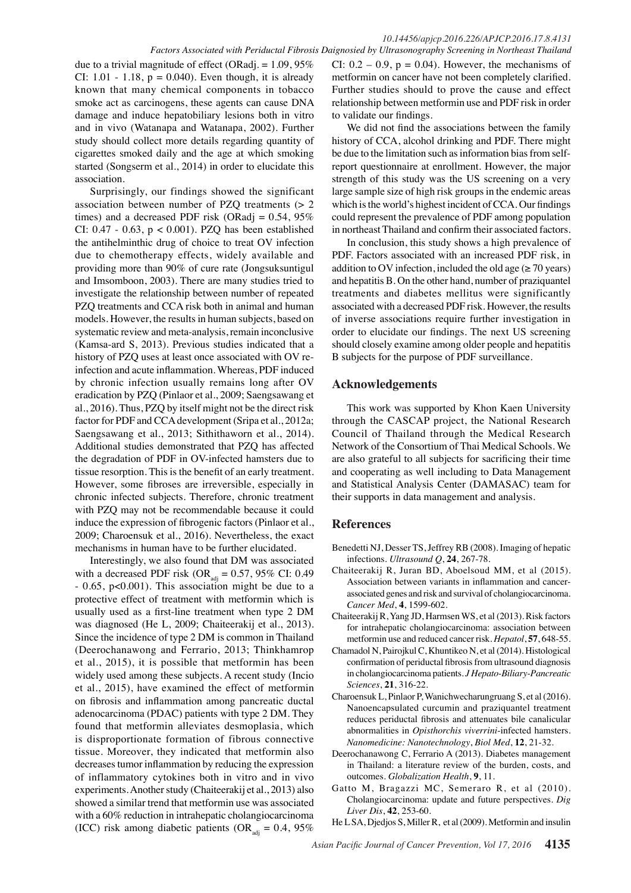# *10.14456/apjcp.2016.226/APJCP.2016.17.8.4131*

due to a trivial magnitude of effect (ORadj. =  $1.09,95\%$ CI:  $1.01 - 1.18$ ,  $p = 0.040$ ). Even though, it is already known that many chemical components in tobacco smoke act as carcinogens, these agents can cause DNA damage and induce hepatobiliary lesions both in vitro and in vivo (Watanapa and Watanapa, 2002). Further study should collect more details regarding quantity of cigarettes smoked daily and the age at which smoking started (Songserm et al., 2014) in order to elucidate this association.

Surprisingly, our findings showed the significant association between number of PZQ treatments (> 2 times) and a decreased PDF risk (ORadj =  $0.54$ ,  $95\%$ CI:  $0.47 - 0.63$ ,  $p < 0.001$ ). PZQ has been established the antihelminthic drug of choice to treat OV infection due to chemotherapy effects, widely available and providing more than 90% of cure rate (Jongsuksuntigul and Imsomboon, 2003). There are many studies tried to investigate the relationship between number of repeated PZQ treatments and CCA risk both in animal and human models. However, the results in human subjects, based on systematic review and meta-analysis, remain inconclusive (Kamsa-ard S, 2013). Previous studies indicated that a history of PZQ uses at least once associated with OV reinfection and acute inflammation. Whereas, PDF induced by chronic infection usually remains long after OV eradication by PZQ (Pinlaor et al., 2009; Saengsawang et al., 2016). Thus, PZQ by itself might not be the direct risk factor for PDF and CCA development (Sripa et al., 2012a; Saengsawang et al., 2013; Sithithaworn et al., 2014). Additional studies demonstrated that PZQ has affected the degradation of PDF in OV-infected hamsters due to tissue resorption. This is the benefit of an early treatment. However, some fibroses are irreversible, especially in chronic infected subjects. Therefore, chronic treatment with PZQ may not be recommendable because it could induce the expression of fibrogenic factors (Pinlaor et al., 2009; Charoensuk et al., 2016). Nevertheless, the exact mechanisms in human have to be further elucidated.

Interestingly, we also found that DM was associated with a decreased PDF risk (OR<sub>adj</sub> = 0.57, 95% CI: 0.49 - 0.65, p<0.001). This association might be due to a protective effect of treatment with metformin which is usually used as a first-line treatment when type 2 DM was diagnosed (He L, 2009; Chaiteerakij et al., 2013). Since the incidence of type 2 DM is common in Thailand (Deerochanawong and Ferrario, 2013; Thinkhamrop et al., 2015), it is possible that metformin has been widely used among these subjects. A recent study (Incio et al., 2015), have examined the effect of metformin on fibrosis and inflammation among pancreatic ductal adenocarcinoma (PDAC) patients with type 2 DM. They found that metformin alleviates desmoplasia, which is disproportionate formation of fibrous connective tissue. Moreover, they indicated that metformin also decreases tumor inflammation by reducing the expression of inflammatory cytokines both in vitro and in vivo experiments. Another study (Chaiteerakij et al., 2013) also showed a similar trend that metformin use was associated with a 60% reduction in intrahepatic cholangiocarcinoma (ICC) risk among diabetic patients (OR<sub>adi</sub> = 0.4, 95%)

*Factors Associated with Periductal Fibrosis Daignosied by Ultrasonography Screening in Northeast Thailand*  CI:  $0.2 - 0.9$ ,  $p = 0.04$ ). However, the mechanisms of metformin on cancer have not been completely clarified. Further studies should to prove the cause and effect relationship between metformin use and PDF risk in order to validate our findings.

> We did not find the associations between the family history of CCA, alcohol drinking and PDF. There might be due to the limitation such as information bias from selfreport questionnaire at enrollment. However, the major strength of this study was the US screening on a very large sample size of high risk groups in the endemic areas which is the world's highest incident of CCA. Our findings could represent the prevalence of PDF among population in northeast Thailand and confirm their associated factors.

> In conclusion, this study shows a high prevalence of PDF. Factors associated with an increased PDF risk, in addition to OV infection, included the old age ( $\geq$  70 years) and hepatitis B. On the other hand, number of praziquantel treatments and diabetes mellitus were significantly associated with a decreased PDF risk. However, the results of inverse associations require further investigation in order to elucidate our findings. The next US screening should closely examine among older people and hepatitis B subjects for the purpose of PDF surveillance.

### **Acknowledgements**

This work was supported by Khon Kaen University through the CASCAP project, the National Research Council of Thailand through the Medical Research Network of the Consortium of Thai Medical Schools. We are also grateful to all subjects for sacrificing their time and cooperating as well including to Data Management and Statistical Analysis Center (DAMASAC) team for their supports in data management and analysis.

## **References**

- Benedetti NJ, Desser TS, Jeffrey RB (2008). Imaging of hepatic infections. *Ultrasound Q*, **24**, 267-78.
- Chaiteerakij R, Juran BD, Aboelsoud MM, et al (2015). Association between variants in inflammation and cancerassociated genes and risk and survival of cholangiocarcinoma. *Cancer Med*, **4**, 1599-602.
- Chaiteerakij R, Yang JD, Harmsen WS, et al (2013). Risk factors for intrahepatic cholangiocarcinoma: association between metformin use and reduced cancer risk. *Hepatol*, **57**, 648-55.
- Chamadol N, Pairojkul C, Khuntikeo N, et al (2014). Histological confirmation of periductal fibrosis from ultrasound diagnosis in cholangiocarcinoma patients. *J Hepato-Biliary-Pancreatic Sciences*, **21**, 316-22.
- Charoensuk L, Pinlaor P, Wanichwecharungruang S, et al (2016). Nanoencapsulated curcumin and praziquantel treatment reduces periductal fibrosis and attenuates bile canalicular abnormalities in *Opisthorchis viverrini*-infected hamsters. *Nanomedicine: Nanotechnology*, *Biol Med*, **12**, 21-32.
- Deerochanawong C, Ferrario A (2013). Diabetes management in Thailand: a literature review of the burden, costs, and outcomes. *Globalization Health*, **9**, 11.
- Gatto M, Bragazzi MC, Semeraro R, et al (2010). Cholangiocarcinoma: update and future perspectives. *Dig Liver Dis*, **42**, 253-60.

He L SA, Djedjos S, Miller R, et al (2009). Metformin and insulin